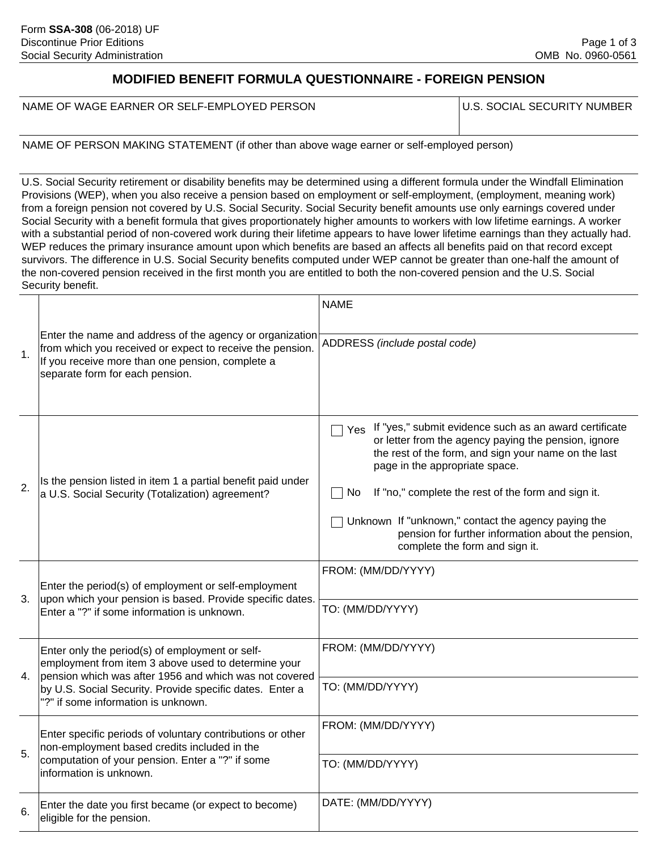# **MODIFIED BENEFIT FORMULA QUESTIONNAIRE - FOREIGN PENSION**

NAME OF WAGE EARNER OR SELF-EMPLOYED PERSON

U.S. SOCIAL SECURITY NUMBER

NAME OF PERSON MAKING STATEMENT (if other than above wage earner or self-employed person)

U.S. Social Security retirement or disability benefits may be determined using a different formula under the Windfall Elimination Provisions (WEP), when you also receive a pension based on employment or self-employment, (employment, meaning work) from a foreign pension not covered by U.S. Social Security. Social Security benefit amounts use only earnings covered under Social Security with a benefit formula that gives proportionately higher amounts to workers with low lifetime earnings. A worker with a substantial period of non-covered work during their lifetime appears to have lower lifetime earnings than they actually had. WEP reduces the primary insurance amount upon which benefits are based an affects all benefits paid on that record except survivors. The difference in U.S. Social Security benefits computed under WEP cannot be greater than one-half the amount of the non-covered pension received in the first month you are entitled to both the non-covered pension and the U.S. Social Security benefit.

|                |                                                                                                                                                                                                                                                                     | <b>NAME</b>                                                                                                                                                                                                                                                                                                                                                                                                                 |
|----------------|---------------------------------------------------------------------------------------------------------------------------------------------------------------------------------------------------------------------------------------------------------------------|-----------------------------------------------------------------------------------------------------------------------------------------------------------------------------------------------------------------------------------------------------------------------------------------------------------------------------------------------------------------------------------------------------------------------------|
| 1.             | Enter the name and address of the agency or organization<br>from which you received or expect to receive the pension.<br>If you receive more than one pension, complete a<br>separate form for each pension.                                                        | ADDRESS (include postal code)                                                                                                                                                                                                                                                                                                                                                                                               |
| 2.             | Is the pension listed in item 1 a partial benefit paid under<br>a U.S. Social Security (Totalization) agreement?                                                                                                                                                    | If "yes," submit evidence such as an award certificate<br>Yes<br>or letter from the agency paying the pension, ignore<br>the rest of the form, and sign your name on the last<br>page in the appropriate space.<br>If "no," complete the rest of the form and sign it.<br>No<br>Unknown If "unknown," contact the agency paying the<br>pension for further information about the pension,<br>complete the form and sign it. |
| 3 <sub>1</sub> | Enter the period(s) of employment or self-employment<br>upon which your pension is based. Provide specific dates.<br>Enter a "?" if some information is unknown.                                                                                                    | FROM: (MM/DD/YYYY)<br>TO: (MM/DD/YYYY)                                                                                                                                                                                                                                                                                                                                                                                      |
| 4.             | Enter only the period(s) of employment or self-<br>employment from item 3 above used to determine your<br>pension which was after 1956 and which was not covered<br>by U.S. Social Security. Provide specific dates. Enter a<br>"?" if some information is unknown. | FROM: (MM/DD/YYYY)<br>TO: (MM/DD/YYYY)                                                                                                                                                                                                                                                                                                                                                                                      |
| 5.             | Enter specific periods of voluntary contributions or other<br>non-employment based credits included in the<br>computation of your pension. Enter a "?" if some<br>linformation is unknown.                                                                          | FROM: (MM/DD/YYYY)                                                                                                                                                                                                                                                                                                                                                                                                          |
|                |                                                                                                                                                                                                                                                                     | TO: (MM/DD/YYYY)                                                                                                                                                                                                                                                                                                                                                                                                            |
| 6.             | Enter the date you first became (or expect to become)<br>eligible for the pension.                                                                                                                                                                                  | DATE: (MM/DD/YYYY)                                                                                                                                                                                                                                                                                                                                                                                                          |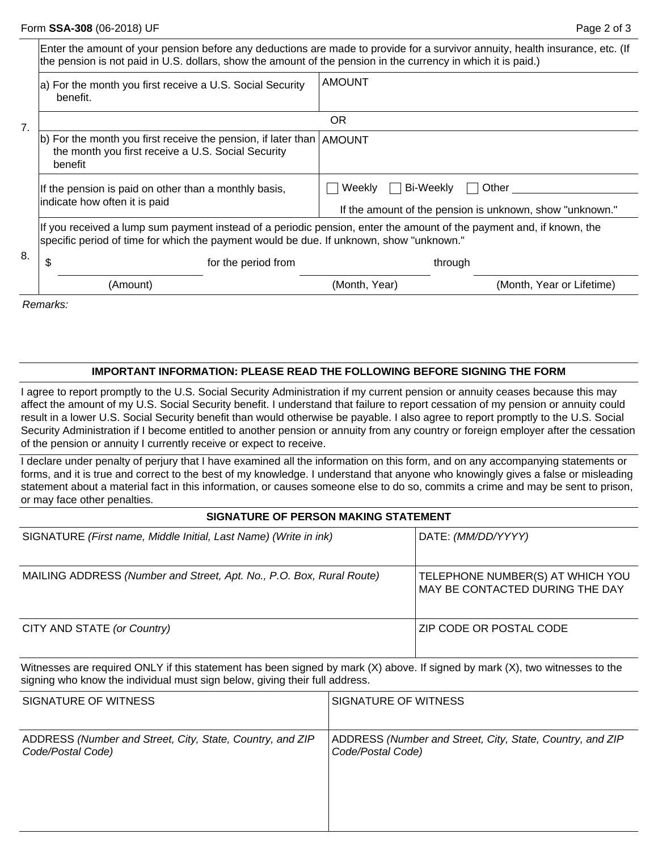|    | Enter the amount of your pension before any deductions are made to provide for a survivor annuity, health insurance, etc. (If<br>the pension is not paid in U.S. dollars, show the amount of the pension in the currency in which it is paid.) |                                                                                 |                           |  |
|----|------------------------------------------------------------------------------------------------------------------------------------------------------------------------------------------------------------------------------------------------|---------------------------------------------------------------------------------|---------------------------|--|
| 7. | a) For the month you first receive a U.S. Social Security<br>benefit.                                                                                                                                                                          | <b>AMOUNT</b>                                                                   |                           |  |
|    | <b>OR</b>                                                                                                                                                                                                                                      |                                                                                 |                           |  |
|    | $ b $ For the month you first receive the pension, if later than $ AMOUNT$<br>the month you first receive a U.S. Social Security<br>benefit                                                                                                    |                                                                                 |                           |  |
|    | If the pension is paid on other than a monthly basis,<br>indicate how often it is paid                                                                                                                                                         | Bi-Weekly<br>Weekly<br>If the amount of the pension is unknown, show "unknown." | Other                     |  |
| 8. | If you received a lump sum payment instead of a periodic pension, enter the amount of the payment and, if known, the<br>specific period of time for which the payment would be due. If unknown, show "unknown."                                |                                                                                 |                           |  |
|    | \$<br>for the period from                                                                                                                                                                                                                      | through                                                                         |                           |  |
|    | (Amount)                                                                                                                                                                                                                                       | (Month, Year)                                                                   | (Month, Year or Lifetime) |  |
|    | $D = 1$                                                                                                                                                                                                                                        |                                                                                 |                           |  |

*Remarks:*

## **IMPORTANT INFORMATION: PLEASE READ THE FOLLOWING BEFORE SIGNING THE FORM**

I agree to report promptly to the U.S. Social Security Administration if my current pension or annuity ceases because this may affect the amount of my U.S. Social Security benefit. I understand that failure to report cessation of my pension or annuity could result in a lower U.S. Social Security benefit than would otherwise be payable. I also agree to report promptly to the U.S. Social Security Administration if I become entitled to another pension or annuity from any country or foreign employer after the cessation of the pension or annuity I currently receive or expect to receive.

I declare under penalty of perjury that I have examined all the information on this form, and on any accompanying statements or forms, and it is true and correct to the best of my knowledge. I understand that anyone who knowingly gives a false or misleading statement about a material fact in this information, or causes someone else to do so, commits a crime and may be sent to prison, or may face other penalties.

#### **SIGNATURE OF PERSON MAKING STATEMENT**

| SIGNATURE (First name, Middle Initial, Last Name) (Write in ink)     | DATE: <i>(MM/DD/YYYY)</i>                                           |
|----------------------------------------------------------------------|---------------------------------------------------------------------|
| MAILING ADDRESS (Number and Street, Apt. No., P.O. Box, Rural Route) | TELEPHONE NUMBER(S) AT WHICH YOU<br>MAY BE CONTACTED DURING THE DAY |
| CITY AND STATE (or Country)                                          | ZIP CODE OR POSTAL CODE                                             |

Witnesses are required ONLY if this statement has been signed by mark (X) above. If signed by mark (X), two witnesses to the signing who know the individual must sign below, giving their full address.

| SIGNATURE OF WITNESS                                      | SIGNATURE OF WITNESS                                      |
|-----------------------------------------------------------|-----------------------------------------------------------|
| ADDRESS (Number and Street, City, State, Country, and ZIP | ADDRESS (Number and Street, City, State, Country, and ZIP |
| Code/Postal Code)                                         | Code/Postal Code)                                         |